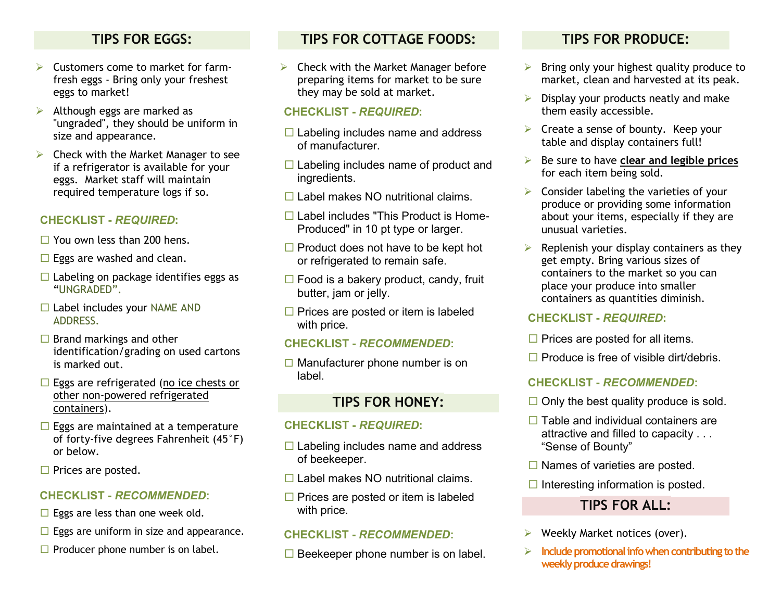## **TIPS FOR EGGS:**

- $\triangleright$  Customers come to market for farmfresh eggs - Bring only your freshest eggs to market!
- $\triangleright$  Although eggs are marked as "ungraded", they should be uniform in size and appearance.
- $\triangleright$  Check with the Market Manager to see if a refrigerator is available for your eggs. Market staff will maintain required temperature logs if so.

#### **CHECKLIST -** *REQUIRED***:**

- $\Box$  You own less than 200 hens.
- $\Box$  Eggs are washed and clean.
- $\Box$  Labeling on package identifies eggs as "UNGRADED".
- $\Box$  Label includes your NAME AND ADDRESS.
- $\Box$  Brand markings and other identification/grading on used cartons is marked out.
- $\Box$  Eggs are refrigerated (no ice chests or other non-powered refrigerated containers).
- $\Box$  Eggs are maintained at a temperature of forty-five degrees Fahrenheit (45°F) or below.
- $\square$  Prices are posted.

#### **CHECKLIST -** *RECOMMENDED***:**

- $\Box$  Eggs are less than one week old.
- $\Box$  Eggs are uniform in size and appearance.
- $\Box$  Producer phone number is on label.

# **TIPS FOR COTTAGE FOODS:**

 $\triangleright$  Check with the Market Manager before preparing items for market to be sure they may be sold at market.

#### **CHECKLIST -** *REQUIRED***:**

- $\Box$  Labeling includes name and address of manufacturer.
- $\Box$  Labeling includes name of product and ingredients.
- $\Box$  Label makes NO nutritional claims.
- □ Label includes "This Product is Home-Produced" in 10 pt type or larger.
- $\Box$  Product does not have to be kept hot or refrigerated to remain safe.
- $\Box$  Food is a bakery product, candy, fruit butter, jam or jelly.
- $\Box$  Prices are posted or item is labeled with price.

#### **CHECKLIST -** *RECOMMENDED***:**

 $\Box$  Manufacturer phone number is on label.

### **TIPS FOR HONEY:**

#### **CHECKLIST -** *REQUIRED***:**

- $\Box$  Labeling includes name and address of beekeeper.
- $\Box$  Label makes NO nutritional claims.
- $\Box$  Prices are posted or item is labeled with price.

#### **CHECKLIST -** *RECOMMENDED***:**

 $\Box$  Beekeeper phone number is on label.

# **TIPS FOR PRODUCE:**

- $\triangleright$  Bring only your highest quality produce to market, clean and harvested at its peak.
- $\triangleright$  Display your products neatly and make them easily accessible.
- $\triangleright$  Create a sense of bounty. Keep your table and display containers full!
- Be sure to have **clear and legible prices** for each item being sold.
- $\triangleright$  Consider labeling the varieties of your produce or providing some information about your items, especially if they are unusual varieties.
- $\triangleright$  Replenish your display containers as they get empty. Bring various sizes of containers to the market so you can place your produce into smaller containers as quantities diminish.

#### **CHECKLIST -** *REQUIRED***:**

- $\Box$  Prices are posted for all items.
- $\Box$  Produce is free of visible dirt/debris.

#### **CHECKLIST -** *RECOMMENDED***:**

- $\Box$  Only the best quality produce is sold.
- $\Box$  Table and individual containers are attractive and filled to capacity . . . "Sense of Bounty"
- $\Box$  Names of varieties are posted.
- $\Box$  Interesting information is posted.

# **TIPS FOR ALL:**

- Weekly Market notices (over).
- **Include promotional info when contributing to the weekly produce drawings!**